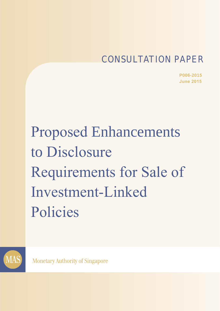# CONSULTATION PAPER

**P006-2015 June 2015**

Proposed Enhancements to Disclosure Requirements for Sale of Investment-Linked Policies



**Monetary Authority of Singapore**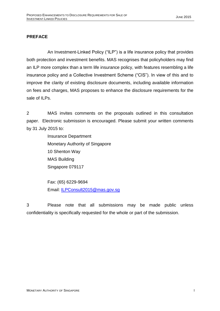# **PREFACE**

An Investment-Linked Policy ("ILP") is a life insurance policy that provides both protection and investment benefits. MAS recognises that policyholders may find an ILP more complex than a term life insurance policy, with features resembling a life insurance policy and a Collective Investment Scheme ("CIS"). In view of this and to improve the clarity of existing disclosure documents, including available information on fees and charges, MAS proposes to enhance the disclosure requirements for the sale of ILPs.

2 MAS invites comments on the proposals outlined in this consultation paper. Electronic submission is encouraged. Please submit your written comments by 31 July 2015 to:

> Insurance Department Monetary Authority of Singapore 10 Shenton Way MAS Building Singapore 079117

Fax: (65) 6229-9694 Email: [ILPConsult2015@mas.gov.sg](mailto:xxx@mas.gov.sg)

3 Please note that all submissions may be made public unless confidentiality is specifically requested for the whole or part of the submission.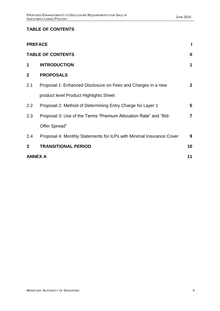# **TABLE OF CONTENTS**

|                | <b>PREFACE</b>                                                       |                |
|----------------|----------------------------------------------------------------------|----------------|
|                | <b>TABLE OF CONTENTS</b>                                             | $\mathbf{I}$   |
| 1              | <b>INTRODUCTION</b>                                                  | 1              |
| $\mathbf{2}$   | <b>PROPOSALS</b>                                                     |                |
| 2.1            | Proposal 1: Enhanced Disclosure on Fees and Charges in a new         | $\mathbf{2}$   |
|                | product level Product Highlights Sheet                               |                |
| 2.2            | Proposal 2: Method of Determining Entry Charge for Layer 1           | 5              |
| 2.3            | Proposal 3: Use of the Terms "Premium Allocation Rate" and "Bid-     | $\overline{7}$ |
|                | Offer Spread"                                                        |                |
| 2.4            | Proposal 4: Monthly Statements for ILPs with Minimal Insurance Cover | 9              |
| 3              | <b>TRANSITIONAL PERIOD</b>                                           | 10             |
| <b>ANNEX A</b> |                                                                      | 11             |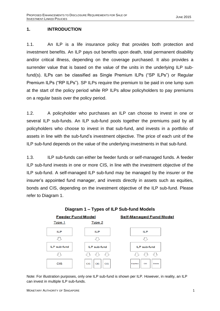# **1. INTRODUCTION**

1.1. An ILP is a life insurance policy that provides both protection and investment benefits. An ILP pays out benefits upon death, total permanent disability and/or critical illness, depending on the coverage purchased. It also provides a surrender value that is based on the value of the units in the underlying ILP subfund(s). ILPs can be classified as Single Premium ILPs ("SP ILPs") or Regular Premium ILPs ("RP ILPs"). SP ILPs require the premium to be paid in one lump sum at the start of the policy period while RP ILPs allow policyholders to pay premiums on a regular basis over the policy period.

1.2. A policyholder who purchases an ILP can choose to invest in one or several ILP sub-funds. An ILP sub-fund pools together the premiums paid by all policyholders who choose to invest in that sub-fund, and invests in a portfolio of assets in line with the sub-fund's investment objective. The price of each unit of the ILP sub-fund depends on the value of the underlying investments in that sub-fund.

1.3. ILP sub-funds can either be feeder funds or self-managed funds. A feeder ILP sub-fund invests in one or more CIS, in line with the investment objective of the ILP sub-fund. A self-managed ILP sub-fund may be managed by the insurer or the insurer's appointed fund manager, and invests directly in assets such as equities, bonds and CIS, depending on the investment objective of the ILP sub-fund. Please refer to Diagram 1.



Note: For illustration purposes, only one ILP sub-fund is shown per ILP. However, in reality, an ILP can invest in multiple ILP sub-funds.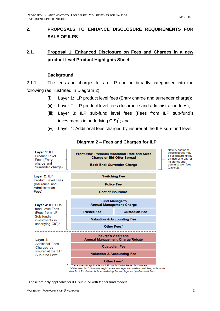# **2. PROPOSALS TO ENHANCE DISCLOSURE REQUIREMENTS FOR SALE OF ILPS**

# 2.1. **Proposal 1: Enhanced Disclosure on Fees and Charges in a new product level Product Highlights Sheet**

### **Background**

2.1.1. The fees and charges for an ILP can be broadly categorised into the following (as illustrated in Diagram 2):

- (i) Layer 1: ILP product level fees (Entry charge and surrender charge);
- (ii) Layer 2: ILP product level fees (Insurance and administration fees);
- (iii) Layer 3: ILP sub-fund level fees (Fees from ILP sub-fund's investments in underlying  $CIS)^1$ ; and
- (iv) Layer 4: Additional fees charged by insurer at the ILP sub-fund level.

| Layer 1: ILP<br>Product Level<br>Fees (Entry<br>charge and<br>Surrender charge) | Front-End: Premium Allocation Rate and Sales<br>Charge or Bid-Offer Spread<br>Back-End: Surrender Charge                                                             |                                                                                         |  | Note: A portion of<br>these charges may<br>be used currently by<br>an insurer to pay for<br>insurance and<br>administration fees<br>(Layer 2). |
|---------------------------------------------------------------------------------|----------------------------------------------------------------------------------------------------------------------------------------------------------------------|-----------------------------------------------------------------------------------------|--|------------------------------------------------------------------------------------------------------------------------------------------------|
| Layer 2: ILP<br><b>Product Level Fees</b>                                       | <b>Switching Fee</b>                                                                                                                                                 |                                                                                         |  |                                                                                                                                                |
| (Insurance and<br>Administration                                                | <b>Policy Fee</b>                                                                                                                                                    |                                                                                         |  |                                                                                                                                                |
| Fees)                                                                           | <b>Cost of Insurance</b>                                                                                                                                             |                                                                                         |  |                                                                                                                                                |
| Layer 3: ILP Sub-                                                               | <b>Fund Manager's</b><br><b>Annual Management Charge</b>                                                                                                             |                                                                                         |  |                                                                                                                                                |
| fund Level Fees<br>(Fees from ILP                                               | <b>Trustee Fee</b>                                                                                                                                                   | <b>Custodian Fee</b>                                                                    |  |                                                                                                                                                |
| Sub-fund's<br>investments in                                                    | <b>Valuation &amp; Accounting Fee</b>                                                                                                                                |                                                                                         |  |                                                                                                                                                |
| underlying CIS) <sup>^</sup>                                                    | Other Fees*                                                                                                                                                          |                                                                                         |  |                                                                                                                                                |
| Layer 4:                                                                        | <b>Insurer's Additional</b><br><b>Annual Management Charge/Rebate</b>                                                                                                |                                                                                         |  |                                                                                                                                                |
| <b>Additional Fees</b><br>Charged by                                            | <b>Custodian Fee</b>                                                                                                                                                 |                                                                                         |  |                                                                                                                                                |
| Insurer at the ILP<br>Sub-fund Level                                            | <b>Valuation &amp; Accounting Fee</b>                                                                                                                                |                                                                                         |  |                                                                                                                                                |
|                                                                                 | Other Fees*<br>N These are only applicable for ILP sub-fund with feeder fund models.<br>fees for ILP sub-fund include marketing fee and legal and professional fees. | * Other fees for CIS include registrar fee and legal and professional fees, while other |  |                                                                                                                                                |

### **Diagram 2 – Fees and Charges for ILP**

**.** 

 $1$  These are only applicable for ILP sub-fund with feeder fund models.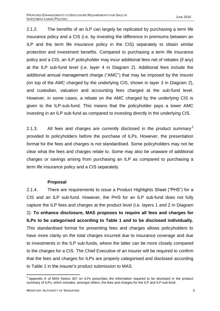2.1.2. The benefits of an ILP can largely be replicated by purchasing a term life insurance policy and a CIS (i.e. by investing the difference in premiums between an ILP and the term life insurance policy in the CIS) separately to obtain similar protection and investment benefits. Compared to purchasing a term life insurance policy and a CIS, an ILP policyholder may incur additional fees net of rebates (if any) at the ILP sub-fund level (i.e. layer 4 in Diagram 2). Additional fees include the additional annual management charge ("AMC") that may be imposed by the insurer (on top of the AMC charged by the underlying CIS, shown in layer 3 in Diagram 2), and custodian, valuation and accounting fees charged at the sub-fund level. However, in some cases, a rebate on the AMC charged by the underlying CIS is given to the ILP-sub-fund. This means that the policyholder pays a lower AMC investing in an ILP sub-fund as compared to investing directly in the underlying CIS.

2.1.3. All fees and charges are currently disclosed in the product summary<sup>2</sup> provided to policyholders before the purchase of ILPs. However, the presentation format for the fees and charges is not standardised. Some policyholders may not be clear what the fees and charges relate to. Some may also be unaware of additional charges or savings arising from purchasing an ILP as compared to purchasing a term life insurance policy and a CIS separately.

# **Proposal**

2.1.4. There are requirements to issue a Product Highlights Sheet ("PHS") for a CIS and an ILP sub-fund. However, the PHS for an ILP sub-fund does not fully capture the ILP fees and charges at the product level (i.e. layers 1 and 2 in Diagram 2). **To enhance disclosure, MAS proposes to require all fees and charges for ILPs to be categorised according to Table 1 and to be disclosed individually.** This standardised format for presenting fees and charges allows policyholders to have more clarity on the total charges incurred due to insurance coverage and due to investments in the ILP sub-funds, where the latter can be more closely compared to the charges for a CIS. The Chief Executive of an insurer will be required to confirm that the fees and charges for ILPs are properly categorised and disclosed according to Table 1 in the insurer's product submission to MAS.

**EXALC 2**<br>Appendix A of MAS Notice 307 on ILPs prescribes the information required to be disclosed in the product summary of ILPs, which includes, amongst others, the fees and charges for the ILP and ILP sub-fund.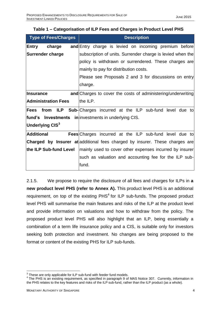| <b>Type of Fees/Charges</b> | <b>Description</b>                                                                 |  |  |
|-----------------------------|------------------------------------------------------------------------------------|--|--|
| Entry charge                | and Entry charge is levied on incoming premium before                              |  |  |
| Surrender charge            | subscription of units. Surrender charge is levied when the                         |  |  |
|                             | policy is withdrawn or surrendered. These charges are                              |  |  |
|                             | mainly to pay for distribution costs.                                              |  |  |
|                             | Please see Proposals 2 and 3 for discussions on entry                              |  |  |
|                             | charge.                                                                            |  |  |
| Insurance                   | and Charges to cover the costs of administering/underwriting                       |  |  |
| <b>Administration Fees</b>  | the ILP.                                                                           |  |  |
|                             | <b>Fees from ILP Sub-</b> Charges incurred at the ILP sub-fund level due to        |  |  |
|                             | fund's Investments in <i>investments</i> in underlying CIS.                        |  |  |
| Underlying $CIS3$           |                                                                                    |  |  |
| Additional                  | <b>Fees</b> Charges incurred at the ILP sub-fund level due to                      |  |  |
|                             | <b>Charged by Insurer at additional fees charged by insurer. These charges are</b> |  |  |
| the ILP Sub-fund Level      | mainly used to cover other expenses incurred by insurer                            |  |  |
|                             | such as valuation and accounting fee for the ILP sub-                              |  |  |
|                             | fund.                                                                              |  |  |

|  |  | Table 1 – Categorisation of ILP Fees and Charges in Product Level PHS |  |
|--|--|-----------------------------------------------------------------------|--|
|  |  |                                                                       |  |

2.1.5. We propose to require the disclosure of all fees and charges for ILPs in **a new product level PHS (refer to Annex A).** This product level PHS is an additional requirement, on top of the existing  $PHS<sup>4</sup>$  for ILP sub-funds. The proposed product level PHS will summarise the main features and risks of the ILP at the product level and provide information on valuations and how to withdraw from the policy. The proposed product level PHS will also highlight that an ILP, being essentially a combination of a term life insurance policy and a CIS, is suitable only for investors seeking both protection and investment. No changes are being proposed to the format or content of the existing PHS for ILP sub-funds.

 $3$  These are only applicable for ILP sub-fund with feeder fund models.

<sup>&</sup>lt;sup>4</sup> The PHS is an existing requirement, as specified in paragraph 9 of MAS Notice 307. Currently, information in the PHS relates to the key features and risks of the ILP sub-fund, rather than the ILP product (as a whole).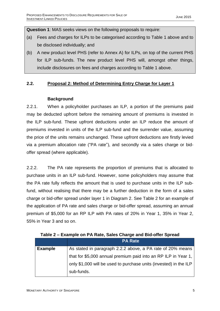**Question 1**: MAS seeks views on the following proposals to require:

- (a) Fees and charges for ILPs to be categorised according to Table 1 above and to be disclosed individually; and
- (b) A new product level PHS (refer to Annex A) for ILPs, on top of the current PHS for ILP sub-funds. The new product level PHS will, amongst other things, include disclosures on fees and charges according to Table 1 above.

# **2.2. Proposal 2: Method of Determining Entry Charge for Layer 1**

# **Background**

2.2.1. When a policyholder purchases an ILP, a portion of the premiums paid may be deducted upfront before the remaining amount of premiums is invested in the ILP sub-fund. These upfront deductions under an ILP reduce the amount of premiums invested in units of the ILP sub-fund and the surrender value, assuming the price of the units remains unchanged. These upfront deductions are firstly levied via a premium allocation rate ("PA rate"), and secondly via a sales charge or bidoffer spread (where applicable).

2.2.2. The PA rate represents the proportion of premiums that is allocated to purchase units in an ILP sub-fund. However, some policyholders may assume that the PA rate fully reflects the amount that is used to purchase units in the ILP subfund, without realising that there may be a further deduction in the form of a sales charge or bid-offer spread under layer 1 in Diagram 2. See Table 2 for an example of the application of PA rate and sales charge or bid-offer spread, assuming an annual premium of \$5,000 for an RP ILP with PA rates of 20% in Year 1, 35% in Year 2, 55% in Year 3 and so on.

|                | <b>PA Rate</b>                                                    |
|----------------|-------------------------------------------------------------------|
| <b>Example</b> | As stated in paragraph 2.2.2 above, a PA rate of 20% means        |
|                | that for \$5,000 annual premium paid into an RP ILP in Year 1,    |
|                | only \$1,000 will be used to purchase units (invested) in the ILP |
|                | sub-funds.                                                        |

**Table 2 – Example on PA Rate, Sales Charge and Bid-offer Spread**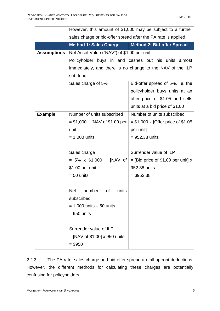|                    | However, this amount of \$1,000 may be subject to a further                     |                                                           |  |  |  |  |
|--------------------|---------------------------------------------------------------------------------|-----------------------------------------------------------|--|--|--|--|
|                    | sales charge or bid-offer spread after the PA rate is applied.                  |                                                           |  |  |  |  |
|                    | <b>Method 1: Sales Charge</b>                                                   | Method 2: Bid-offer Spread                                |  |  |  |  |
| <b>Assumptions</b> | Net Asset Value ("NAV") of \$1.00 per unit                                      |                                                           |  |  |  |  |
|                    |                                                                                 | Policyholder buys in and cashes out his units almost      |  |  |  |  |
|                    |                                                                                 | immediately, and there is no change to the NAV of the ILP |  |  |  |  |
|                    | sub-fund.                                                                       |                                                           |  |  |  |  |
|                    | Sales charge of 5%                                                              | Bid-offer spread of 5%, i.e. the                          |  |  |  |  |
|                    |                                                                                 | policyholder buys units at an                             |  |  |  |  |
|                    |                                                                                 | offer price of \$1.05 and sells                           |  |  |  |  |
|                    |                                                                                 | units at a bid price of \$1.00                            |  |  |  |  |
| <b>Example</b>     | Number of units subscribed                                                      | Number of units subscribed                                |  |  |  |  |
|                    | $= $1,000 \div [NAV \text{ of } $1.00 \text{ per } ]$                           | $= $1,000 \div [O$ ffer price of \$1.05                   |  |  |  |  |
|                    | unit]                                                                           | per unit]                                                 |  |  |  |  |
|                    | $= 1,000$ units                                                                 | $= 952.38$ units                                          |  |  |  |  |
|                    |                                                                                 |                                                           |  |  |  |  |
|                    | Surrender value of ILP<br>Sales charge                                          |                                                           |  |  |  |  |
|                    | = 5% x $$1,000 \div [NAV \text{ of } ]$<br>$=$ [Bid price of \$1.00 per unit] x |                                                           |  |  |  |  |
|                    | \$1.00 per unit]<br>952.38 units                                                |                                                           |  |  |  |  |
|                    | $= 50$ units                                                                    | $= $952.38$                                               |  |  |  |  |
|                    |                                                                                 |                                                           |  |  |  |  |
|                    | <b>Net</b><br>number of<br>units                                                |                                                           |  |  |  |  |
|                    | subscribed                                                                      |                                                           |  |  |  |  |
|                    | $= 1,000$ units $-50$ units                                                     |                                                           |  |  |  |  |
|                    | $= 950$ units                                                                   |                                                           |  |  |  |  |
|                    |                                                                                 |                                                           |  |  |  |  |
|                    | Surrender value of ILP                                                          |                                                           |  |  |  |  |
|                    | $=$ [NAV of \$1.00] x 950 units                                                 |                                                           |  |  |  |  |
|                    | $= $950$                                                                        |                                                           |  |  |  |  |

2.2.3. The PA rate, sales charge and bid-offer spread are all upfront deductions. However, the different methods for calculating these charges are potentially confusing for policyholders.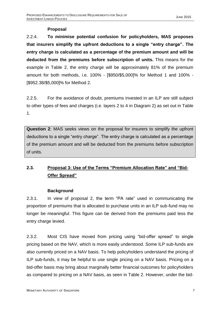### **Proposal**

2.2.4. **To minimise potential confusion for policyholders, MAS proposes that insurers simplify the upfront deductions to a single "entry charge". The entry charge is calculated as a percentage of the premium amount and will be deducted from the premiums before subscription of units.** This means for the example in Table 2, the entry charge will be approximately 81% of the premium amount for both methods, i.e. 100% - [\$950/\$5,000]% for Method 1 and 100% - [\$952.38/\$5,000]% for Method 2.

2.2.5. For the avoidance of doubt, premiums invested in an ILP are still subject to other types of fees and charges (i.e. layers 2 to 4 in Diagram 2) as set out in Table 1.

**Question 2**: MAS seeks views on the proposal for insurers to simplify the upfront deductions to a single "entry charge". The entry charge is calculated as a percentage of the premium amount and will be deducted from the premiums before subscription of units.

# **2.3. Proposal 3: Use of the Terms "Premium Allocation Rate" and "Bid-Offer Spread"**

# **Background**

2.3.1. In view of proposal 2, the term "PA rate" used in communicating the proportion of premiums that is allocated to purchase units in an ILP sub-fund may no longer be meaningful. This figure can be derived from the premiums paid less the entry charge levied.

2.3.2. Most CIS have moved from pricing using "bid-offer spread" to single pricing based on the NAV, which is more easily understood. Some ILP sub-funds are also currently priced on a NAV basis. To help policyholders understand the pricing of ILP sub-funds, it may be helpful to use single pricing on a NAV basis. Pricing on a bid-offer basis may bring about marginally better financial outcomes for policyholders as compared to pricing on a NAV basis, as seen in Table 2. However, under the bid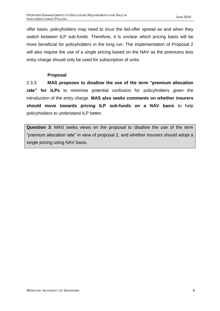offer basis, policyholders may need to incur the bid-offer spread as and when they switch between ILP sub-funds. Therefore, it is unclear which pricing basis will be more beneficial for policyholders in the long run. The implementation of Proposal 2 will also require the use of a single pricing based on the NAV as the premiums less entry charge should only be used for subscription of units.

# **Proposal**

2.3.3. **MAS proposes to disallow the use of the term "premium allocation rate" for ILPs** to minimise potential confusion for policyholders given the introduction of the entry charge. **MAS also seeks comments on whether insurers should move towards pricing ILP sub-funds on a NAV basis** to help policyholders to understand ILP better.

**Question 3**: MAS seeks views on the proposal to disallow the use of the term "premium allocation rate" in view of proposal 2, and whether insurers should adopt a single pricing using NAV basis.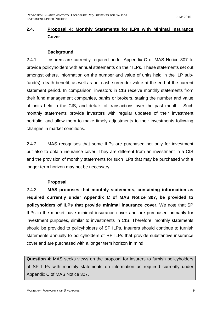# **2.4. Proposal 4: Monthly Statements for ILPs with Minimal Insurance Cover**

### **Background**

2.4.1. Insurers are currently required under Appendix C of MAS Notice 307 to provide policyholders with annual statements on their ILPs. These statements set out, amongst others, information on the number and value of units held in the ILP subfund(s), death benefit, as well as net cash surrender value at the end of the current statement period. In comparison, investors in CIS receive monthly statements from their fund management companies, banks or brokers, stating the number and value of units held in the CIS, and details of transactions over the past month. Such monthly statements provide investors with regular updates of their investment portfolio, and allow them to make timely adjustments to their investments following changes in market conditions.

2.4.2. MAS recognises that some ILPs are purchased not only for investment but also to obtain insurance cover. They are different from an investment in a CIS and the provision of monthly statements for such ILPs that may be purchased with a longer term horizon may not be necessary.

# **Proposal**

2.4.3. **MAS proposes that monthly statements, containing information as required currently under Appendix C of MAS Notice 307, be provided to policyholders of ILPs that provide minimal insurance cover.** We note that SP ILPs in the market have minimal insurance cover and are purchased primarily for investment purposes, similar to investments in CIS. Therefore, monthly statements should be provided to policyholders of SP ILPs. Insurers should continue to furnish statements annually to policyholders of RP ILPs that provide substantive insurance cover and are purchased with a longer term horizon in mind.

**Question 4**: MAS seeks views on the proposal for insurers to furnish policyholders of SP ILPs with monthly statements on information as required currently under Appendix C of MAS Notice 307.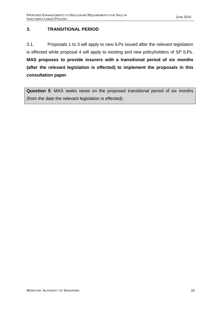# **3. TRANSITIONAL PERIOD**

3.1. Proposals 1 to 3 will apply to new ILPs issued after the relevant legislation is effected while proposal 4 will apply to existing and new policyholders of SP ILPs. **MAS proposes to provide insurers with a transitional period of six months (after the relevant legislation is effected) to implement the proposals in this consultation paper**.

**Question 5**: MAS seeks views on the proposed transitional period of six months (from the date the relevant legislation is effected).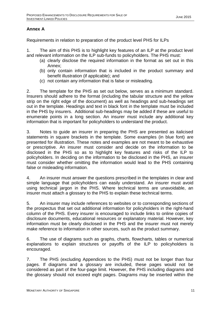# **Annex A**

Requirements in relation to preparation of the product level PHS for ILPs

1. The aim of this PHS is to highlight key features of an ILP at the product level and relevant information on the ILP sub-funds to policyholders. The PHS must:

- (a) clearly disclose the required information in the format as set out in this Annex;
- (b) only contain information that is included in the product summary and benefit illustration (if applicable); and
- (c) not contain any information that is false or misleading.

2. The template for the PHS as set out below, serves as a minimum standard. Insurers should adhere to the format (including the tabular structure and the yellow strip on the right edge of the document) as well as headings and sub-headings set out in the template. Headings and text in black font in the template must be included in the PHS by insurers. Additional sub-headings may be added if these are useful to enumerate points in a long section. An insurer must include any additional key information that is important for policyholders to understand the product.

3. Notes to guide an insurer in preparing the PHS are presented as italicised statements in square brackets in the template. Some examples (in blue font) are presented for illustration. These notes and examples are not meant to be exhaustive or prescriptive. An insurer must consider and decide on the information to be disclosed in the PHS so as to highlight key features and risks of the ILP to policyholders. In deciding on the information to be disclosed in the PHS, an insurer must consider whether omitting the information would lead to the PHS containing false or misleading information.

4. An insurer must answer the questions prescribed in the templates in clear and simple language that policyholders can easily understand. An insurer must avoid using technical jargon in the PHS. Where technical terms are unavoidable, an insurer must attach a glossary to the PHS to explain these technical terms.

5. An insurer may include references to websites or to corresponding sections of the prospectus that set out additional information for policyholders in the right-hand column of the PHS. Every insurer is encouraged to include links to online copies of disclosure documents, educational resources or explanatory material. However, key information must be clearly disclosed in the PHS and the insurer must not merely make reference to information in other sources, such as the product summary.

6. The use of diagrams such as graphs, charts, flowcharts, tables or numerical explanations to explain structures or payoffs of the ILP to policyholders is encouraged.

7. The PHS (excluding Appendices to the PHS) must not be longer than four pages. If diagrams and a glossary are included, these pages would not be considered as part of the four-page limit. However, the PHS including diagrams and the glossary should not exceed eight pages. Diagrams may be inserted within the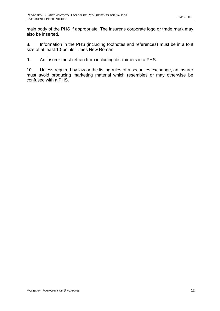main body of the PHS if appropriate. The insurer's corporate logo or trade mark may also be inserted.

8. Information in the PHS (including footnotes and references) must be in a font size of at least 10-points Times New Roman.

9. An insurer must refrain from including disclaimers in a PHS.

10. Unless required by law or the listing rules of a securities exchange, an insurer must avoid producing marketing material which resembles or may otherwise be confused with a PHS.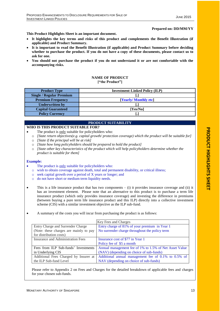#### **Prepared on: DD/MM/YY**

**This Product Highlights Sheet is an important document.**

- **It highlights the key terms and risks of this product and complements the Benefit Illustration (if applicable) and Product Summary.**
- **It is important to read the Benefit Illustration (if applicable) and Product Summary before deciding whether to purchase the product. If you do not have a copy of these documents, please contact us to ask for one.**
- **You should not purchase the product if you do not understand it or are not comfortable with the accompanying risks.**

#### **NAME OF PRODUCT ["the Product"]**

| <b>Product Type</b>             | <b>Investment-Linked Policy (ILP)</b> |
|---------------------------------|---------------------------------------|
| <b>Single / Regular Premium</b> |                                       |
| <b>Premium Frequency</b>        | [Yearly/Monthly etc]                  |
| <b>Underwritten by</b>          |                                       |
| <b>Capital Guaranteed</b>       | [Yes/No]                              |
| <b>Policy Currency</b>          |                                       |

#### **PRODUCT SUITABILITY**

#### **WHO IS THIS PRODUCT SUITABLE FOR?**

- The product is only suitable for policyholders who:
- o *[State return objectives(e.g. capital growth/ protection coverage) which the product will be suitable for]*
- o *[State if the principal will be at risk]*
- o *[State how long policyholders should be prepared to hold the product]*
- o *[State other key characteristics of the product which will help policyholders determine whether the product is suitable for them]*

#### **Example:**

- The product is only suitable for policyholders who:
- o wish to obtain coverage against death, total and permanent disability, or critical illness;
- o seek capital growth over a period of X years or longer; and
- o do not have short or medium term liquidity needs.
- This is a life insurance product that has two components  $-$  (i) it provides insurance coverage and (ii) it has an investment element. Please note that an alternative to this product is to purchase a term life insurance product (which only provides insurance coverage) and investing the difference in premiums (between buying a pure term life insurance product and this ILP) directly into a collective investment scheme (CIS) with a similar investment objective as the ILP sub-fund.
- A summary of the costs you will incur from purchasing the product is as follows:

|                                        | Key Fees and Charges                                   |
|----------------------------------------|--------------------------------------------------------|
| Entry Charge and Surrender Charge      | Entry charge of 81% of your premium in Year 1          |
| (Note: these charges are mainly to pay | No surrender charge throughout the policy term         |
| for distribution costs)                |                                                        |
| Insurance and Administration Fees      | Insurance cost of \$77 in Year 1                       |
|                                        | Policy fee of \$5 a month                              |
| Fees from ILP Sub-funds' Investments   | Annual management fee of 1% to 1.5% of Net Asset Value |
| in Underlying CIS                      | (NAV) (depending on choice of sub-funds)               |
| Additional Fees Charged by Insurer at  | Additional annual management fee of 0.1% to 0.5% of    |
| the ILP Sub-fund Level                 | NAV (depending on choice of sub-funds)                 |

Please refer to Appendix 2 on Fees and Charges for the detailed breakdown of applicable fees and charges for your chosen sub-funds.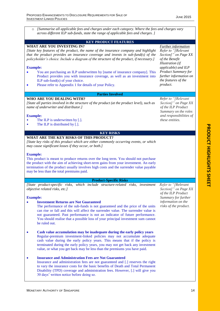o *[Summarise all applicable fees and charges under each category. Where the fees and charges vary across different ILP sub-funds, state the range of applicable fees and charges. ]*

#### **KEY PRODUCT FEATURES**

#### **WHAT ARE YOU INVESTING IN?**

*[State key features of the product, the name of the insurance company and highlight that the product provides an insurance coverage and invests in sub-fund(s) of the policyholder's choice. Include a diagram of the structure of the product, if necessary.]*

#### **Example:**

- You are purchasing an ILP underwritten by [name of insurance company]. This Product provides you with insurance coverage, as well as an investment into ILP sub-fund(s) of your choice.
- Please refer to Appendix 1 for details of your Policy.

#### **Parties Involved**

#### **WHO ARE YOU DEALING WITH?**

*[State all parties involved in the structure of the product (at the product level), such as name of underwriter and distributor.]*

#### **Example:**

- The ILP is underwritten by [.].
- The ILP is distributed by [.].

#### **KEY RISKS**

#### **WHAT ARE THE KEY RISKS OF THIS PRODUCT?**

*[State key risks of this product which are either commonly occurring events, or which may cause significant losses if they occur, or both.]*

#### **Example:**

This product is meant to produce returns over the long term. You should not purchase the product with the aim of achieving short-term gains from your investment. An early termination of the product usually involves high costs and the surrender value payable may be less than the total premiums paid.

#### **Product-Specific Risks**

*[State product-specific risks, which include structure-related risks, investment objective related risks, etc.]*

#### **Example:**

- **Investment Returns are Not Guaranteed**
	- The performance of the sub-funds is not guaranteed and the price of the units can rise or fall and this will affect the surrender value. The surrender value is not guaranteed. Past performance is not an indicator of future performance. You should realise that a possible loss of your principal investment sum cannot be ruled out.
- **Cash value accumulation may be inadequate during the early policy years** Regular-premium investment-linked policies may not accumulate adequate cash value during the early policy years. This means that if the policy is terminated during the early policy years, you may not get back any investment value, or what you get back may be less than the premiums you have paid.

#### **Insurance and Administration Fees are Not Guaranteed**

Insurance and administration fees are not guaranteed and [.] reserves the right to vary the insurance costs for the basic benefits of Death and Total Permanent Disability (TPD) coverage and administration fees. However, [.] will give you 30 days' written notice before doing so.

*Refer to "[Relevant Section]" on Page XX of the ILP Product Summary for further information on the risks of the product.*

*Further information Refer to "[Relevant Section]" on Page XX of the Benefit Illustration (if applicable) and ILP Product Summary for further information on the features of the product.* 

*Refer to "[Relevant Section]" on Page XX of the ILP Product Summary on the roles and responsibilities of* 

*these entities.*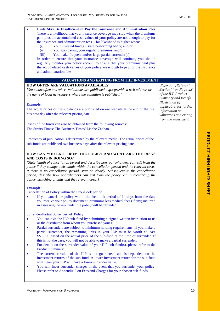#### There is a likelihood that your insurance coverage may stop when the premiums paid plus the accumulated cash values of your policy are not enough to pay for the insurance and administration fees. This likelihood is higher when: (i) Your invested fund(s) is/are performing badly; and/or

**Units May Be Insufficient to Pay the Insurance and Administration Fees**

- (ii) You stop paying your regular premiums; and/or
- (iii) You make frequent and/or large partial surrender(s).

In order to ensure that your insurance coverage will continue, you should regularly monitor your policy account to ensure that your premiums paid plus the accumulated cash values of your policy are enough to pay for the insurance and administration fees.

#### **VALUATIONS AND EXITING FROM THE INVESTMENT**

#### **HOW OFTEN ARE VALUATIONS AVAILABLE?**

*[State how often and where valuations are published, e.g.: provide a web address or the name of local newspapers where the valuation is published.]*

#### **Example:**

The actual prices of the sub-funds are published on our website at the end of the first business day after the relevant pricing date.

Prices of the funds can also be obtained from the following sources: The Straits Times/ The Business Times/ Lianhe Zaobao.

Frequency of publication is determined by the relevant media. The actual prices of the sub-funds are published two business days after the relevant pricing date.

#### **HOW CAN YOU EXIT FROM THE POLICY AND WHAT ARE THE RISKS AND COSTS IN DOING SO?**

*[State length of cancellation period and describe how policyholders can exit from the policy if they change their minds within the cancellation period and the relevant costs. If there is no cancellation period, state so clearly. Subsequent to the cancellation period, describe how policyholders can exit from the policy, e.g. surrendering the policy, switching of units and the relevant costs.]*

#### **Example:**

Cancellation of Policy within the Free-Look period

 If you cancel the policy within the free-look period of 14 days from the date you receive your policy document, premiums less medical fees (if any) incurred in assessing the risk under the policy will be refunded.

Surrender/Partial Surrender of Policy

- You can exit the ILP sub-fund by submitting a signed written instruction to us or the distributor from whom you purchased your ILP.
- Partial surrenders are subject to minimum holding requirements. If you make a partial surrender, the remaining units in your ILP must be worth at least S\$1,000 based on the actual price of the sub-fund at the time of surrender. If this is not the case, you will not be able to make a partial surrender.
- For details on the surrender value of your ILP sub-fund(s), please refer to the Product Summary.
- The surrender value of the ILP is not guaranteed and is dependent on the investment returns of the sub-fund. A lower investment return for the sub-fund will mean your ILP will have a lower surrender value.
- You will incur surrender charges in the event that you surrender your policy. Please refer to Appendix 2 on Fees and Charges for your chosen sub-funds.

*Refer to "[Relevant Section]" on Page XX of the ILP Product Summary and Benefit Illustration (if applicable) for further information on valuations and exiting from the investment.*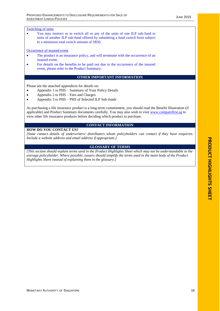#### Switching of units

 You may instruct us to switch all or any of the units of one ILP sub-fund to units of another ILP sub-fund offered by submitting a fund switch form subject to a minimum total switch amount of S\$50.

#### Occurrence of insured event

- The product is an insurance policy, and will terminate with the occurrence of an insured event.
- For details on the benefits to be paid out due to the occurrence of the insured event, please refer to the Product Summary.

#### **OTHER IMPORTANT INFORMATION**

Please see the attached appendices for details on:

- Appendix 1 to PHS Summary of Your Policy Details
- Appendix 2 to PHS Fees and Charges
- Appendix 3 to PHS PHS of Selected ILP Sub-funds

As purchasing a life insurance product is a long-term commitment, you should read the Benefit Illustration (if applicable) and Product Summary documents carefully. You may also wish to visit [www.comparefirst.sg](http://www.comparefirst.sg/) to view other life insurance products before deciding which product to purchase.

#### **CONTACT INFORMATION**

#### **HOW DO YOU CONTACT US?**

*[State contact details of underwriters/ distributors whom policyholders can contact if they have enquiries. Include a website address and email address if appropriate.]*

#### **GLOSSARY OF TERMS**

*[This section should explain terms used in the Product Highlights Sheet which may not be understandable to the average policyholder. Where possible, issuers should simplify the terms used in the main body of the Product Highlights Sheet instead of explaining them in the glossary.]*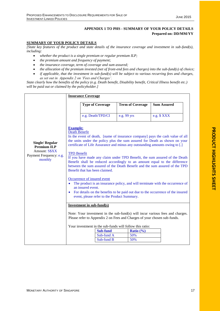# **APPENDIX 1 TO PHS - SUMMARY OF YOUR POLICY DETAILS Prepared on: DD/MM/YY**

#### **SUMMARY OF YOUR POLICY DETAILS**

*[State key features of the product and state details of the insurance coverage and investment in sub-fund(s), including:* 

- *whether the product is a single premium or regular premium ILP;*
- *the premium amount and frequency of payment;*
- *the insurance coverage, term of coverage and sum assured;*
- *the allocation of the premium invested (net of front-end fees and charges) into the sub-fund(s) of choice;*
- *if applicable, that the investment in sub-fund(s) will be subject to various recurring fees and charges, as set out in Appendix 2 on 'Fees and Charges'.*

*State clearly how the benefits of the policy (e.g. Death benefit, Disability benefit, Critical Illness benefit etc.) will be paid out or claimed by the policyholder.]*

|                                                                                                           | <b>Insurance Coverage</b>                                                                                                                                                                                                                                                                                                                                                                                                                                                                                                                                                         |                                             |                                                                                         |                                                                                                                                                                  |  |  |  |
|-----------------------------------------------------------------------------------------------------------|-----------------------------------------------------------------------------------------------------------------------------------------------------------------------------------------------------------------------------------------------------------------------------------------------------------------------------------------------------------------------------------------------------------------------------------------------------------------------------------------------------------------------------------------------------------------------------------|---------------------------------------------|-----------------------------------------------------------------------------------------|------------------------------------------------------------------------------------------------------------------------------------------------------------------|--|--|--|
|                                                                                                           | <b>Type of Coverage</b>                                                                                                                                                                                                                                                                                                                                                                                                                                                                                                                                                           |                                             | <b>Term of Coverage</b>                                                                 | <b>Sum Assured</b>                                                                                                                                               |  |  |  |
|                                                                                                           | e.g. Death/TPD/CI                                                                                                                                                                                                                                                                                                                                                                                                                                                                                                                                                                 |                                             | e.g. 99 yrs                                                                             | e.g. \$XXX                                                                                                                                                       |  |  |  |
| <b>Single/Regular</b><br><b>Premium ILP</b><br><b>Amount: S\$XX</b><br>Payment Frequency: e.g.<br>monthly | <b>Example:</b><br>Death Benefit<br>In the event of death, [name of insurance company] pays the cash value of all<br>the units under the policy plus the sum assured for Death as shown on your<br>certificate of Life Assurance and minus any outstanding amounts owing to [.]<br><b>TPD Benefit</b><br>If you have made any claim under TPD Benefit, the sum assured of the Death<br>Benefit shall be reduced accordingly to an amount equal to the difference<br>between the sum assured of the Death Benefit and the sum assured of the TPD<br>Benefit that has been claimed. |                                             |                                                                                         |                                                                                                                                                                  |  |  |  |
|                                                                                                           | Occurrence of insured event<br>an insured event.<br>event, please refer to the Product Summary.                                                                                                                                                                                                                                                                                                                                                                                                                                                                                   |                                             |                                                                                         | The product is an insurance policy, and will terminate with the occurrence of<br>For details on the benefits to be paid out due to the occurrence of the insured |  |  |  |
|                                                                                                           | Investment in sub-fund(s)<br>Note: Your investment in the sub-fund(s) will incur various fees and charges.<br>Please refer to Appendix 2 on Fees and Charges of your chosen sub-funds.                                                                                                                                                                                                                                                                                                                                                                                            |                                             |                                                                                         |                                                                                                                                                                  |  |  |  |
|                                                                                                           |                                                                                                                                                                                                                                                                                                                                                                                                                                                                                                                                                                                   | <b>Sub-fund</b><br>Sub-fund A<br>Sub-fund B | Your investment in the sub-funds will follow this ratio:<br>Ratio $(\% )$<br>50%<br>50% |                                                                                                                                                                  |  |  |  |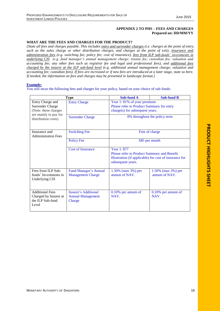#### **APPENDIX 2 TO PHS – FEES AND CHARGES Prepared on: DD/MM/YY**

#### **WHAT ARE THE FEES AND CHARGES FOR THE PRODUCT?**

*[State all fees and charges payable. This includes entry and surrender charges (i.e. charges at the point of entry, such as the sales charge or other distribution charges, and charges at the point of exit), insurance and administration fees (e.g. switching fee; policy fee; cost of insurance), fees from ILP sub-funds' investments in underlying CIS (e.g. fund manager's annual management charge; trustee fee; custodian fee; valuation and accounting fee; any other fees such as registrar fee and legal and professional fees), and additional fees charged by the insurer at the ILP sub-fund level (e.g. additional annual management charge; valuation and accounting fee; custodian fees). If fees are increased or if new fees are introduced at a later stage, state so here. If needed, the information on fees and charges may be presented in landscape format.]* 

#### **Example:**

You will incur the following fees and charges for your policy, based on your choice of sub-funds:

|                                                                                       | <b>Type</b>                                                       | <b>Sub-fund A</b>                                                                                          | <b>Sub-fund B</b>                                      |  |
|---------------------------------------------------------------------------------------|-------------------------------------------------------------------|------------------------------------------------------------------------------------------------------------|--------------------------------------------------------|--|
| Entry Charge and<br>Surrender Charge<br>(Note: these charges<br>are mainly to pay for | <b>Entry Charge</b>                                               | Year 1:81% of your premium<br>Please refer to Product Summary for entry<br>charge(s) for subsequent years. |                                                        |  |
| distribution costs)                                                                   | <b>Surrender Charge</b>                                           | 0% throughout the policy term                                                                              |                                                        |  |
| <b>Switching Fee</b><br>Insurance and<br><b>Administration Fees</b>                   |                                                                   |                                                                                                            | Free of charge                                         |  |
|                                                                                       | <b>Policy Fee</b>                                                 | S\$5 per month                                                                                             |                                                        |  |
| <b>Cost of Insurance</b><br>Year 1: \$77<br>subsequent years.                         |                                                                   | Please refer to Product Summary and Benefit                                                                | Illustration (if applicable) for cost of insurance for |  |
| Fees from ILP Sub-<br>funds' Investments in<br>Underlying CIS                         | Fund Manager's Annual<br><b>Management Charge</b>                 | $1.50\%$ (max 3%) per<br>annum of NAV.                                                                     | $1.50\%$ (max 3%) per<br>annum of NAV.                 |  |
| <b>Additional Fees</b><br>Charged by Insurer at<br>the ILP Sub-fund<br>Level          | <b>Insurer's Additional</b><br><b>Annual Management</b><br>Charge | $0.10\%$ per annum of<br>NAV.                                                                              | 0.10% per annum of<br>NAV.                             |  |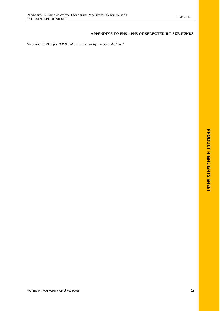#### **APPENDIX 3 TO PHS – PHS OF SELECTED ILP SUB-FUNDS**

*[Provide all PHS for ILP Sub-Funds chosen by the policyholder.]*